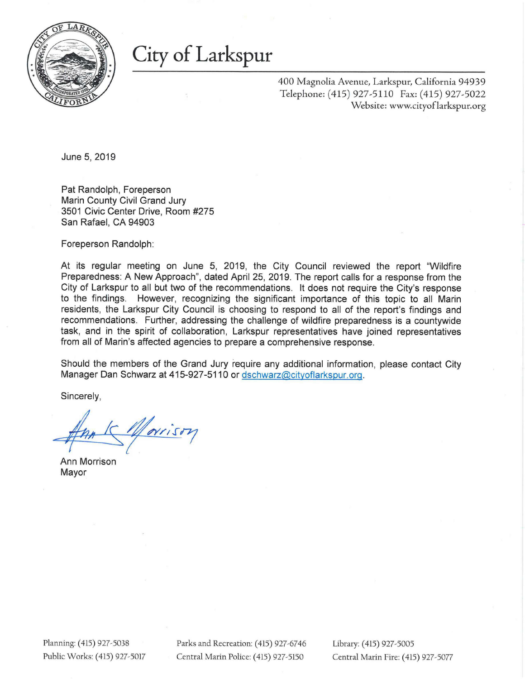

# City of Larkspur

400 Magnolia Avenue, Larkspur, California 94939 Telephone: (415) 927-5110 Fax: (415) 927-5022 Website: www.cityoflarkspur.org

June 5, 2019

Pat Randolph, Foreperson Marin County Civil Grand Jury 3501 Civic Center Drive, Room #275 San Rafael, CA 94903

Foreperson Randolph:

At its regular meeting on June 5, 2019, the City Council reviewed the report "Wildfire Preparedness: A New Approach", dated April 25, 2019. The report calls for a response from the City of Larkspur to all but two of the recommendations. It does not require the City's response to the findings. However, recognizing the significant importance of this topic to all Marin residents, the Larkspur City Council is choosing to respond to all of the report's findings and recommendations. Further, addressing the challenge of wildfire preparedness is a countywide task, and in the spirit of collaboration, Larkspur representatives have joined representatives from all of Marin's affected agencies to prepare a comprehensive response.

Should the members of the Grand Jury require any additional information, please contact City Manager Dan Schwarz at 415-927-5110 or dschwarz@cityoflarkspur.org.

Sincerely,

Marison

Ann Morrison Mayor

Planning: (415) 927-5038 Parks and Recreation: (415) 927-6746 Library: (415) 927-5005 Public Works: (415) 927-5017 Central Marin Police: (415) 927-5150 Central Marin Fire: (415) 927-5077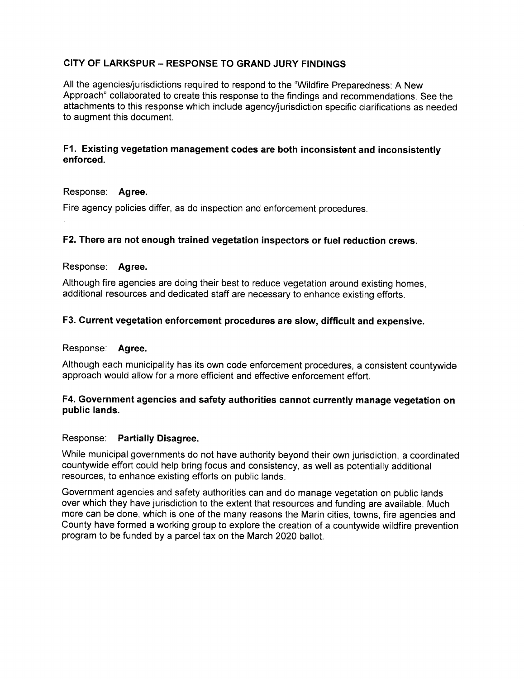# **CITY OF LARKSPUR — RESPONSE TO GRAND JURY FINDINGS**

All the agencies/jurisdictions required to respond to the "Wildfire Preparedness: A New Approach" collaborated to create this response to the findings and recommendations. See the attachments to this response which include agency/jurisdiction specific clarifications as needed to augment this document.

## **Existing vegetation management codes are both inconsistent and inconsistently enforced.**

#### Response: **Agree.**

Fire agency policies differ, as do inspection and enforcement procedures.

## **F2. There are not enough trained vegetation inspectors or fuel reduction crews.**

#### Response: **Agree.**

Although fire agencies are doing their best to reduce vegetation around existing homes, additional resources and dedicated staff are necessary to enhance existing efforts.

#### **F3. Current vegetation enforcement procedures are slow, difficult and expensive.**

#### Response: **Agree.**

Although each municipality has its own code enforcement procedures, a consistent countywide approach would allow for a more efficient and effective enforcement effort.

# **F4. Government agencies and safety authorities cannot currently manage vegetation on public lands.**

#### Response: **Partially Disagree.**

While municipal governments do not have authority beyond their own jurisdiction, a coordinated countywide effort could help bring focus and consistency, as well as potentially additional resources, to enhance existing efforts on public lands.

Government agencies and safety authorities can and do manage vegetation on public lands over which they have jurisdiction to the extent that resources and funding are available. Much more can be done, which is one of the many reasons the Marin cities, towns, fire agencies and County have formed a working group to explore the creation of a countywide wildfire prevention program to be funded by a parcel tax on the March 2020 ballot.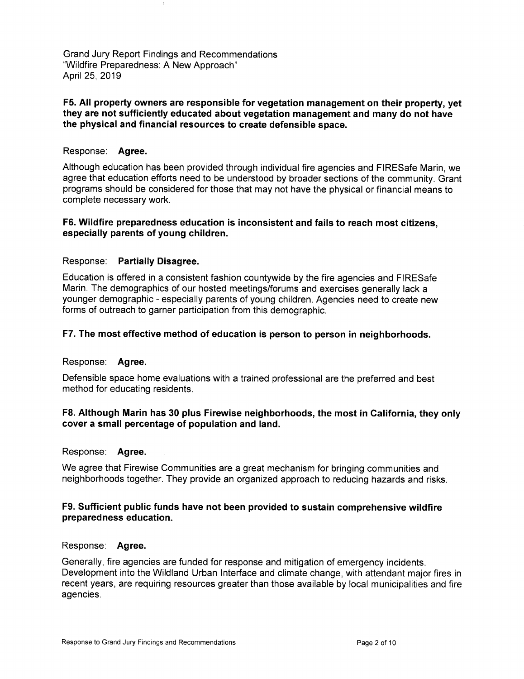#### **F5. All property owners are responsible for vegetation management on their property, yet they are not sufficiently educated about vegetation management and many do not have the physical and financial resources to create defensible space.**

## Response: **Agree.**

Although education has been provided through individual fire agencies and FIRESafe Marin, we agree that education efforts need to be understood by broader sections of the community. Grant programs should be considered for those that may not have the physical or financial means to complete necessary work.

#### **F6. Wildfire preparedness education is inconsistent and fails to reach most citizens, especially parents of young children.**

## Response: **Partially Disagree.**

Education is offered in a consistent fashion countywide by the fire agencies and FIRESafe Marin. The demographics of our hosted meetings/forums and exercises generally lack a younger demographic - especially parents of young children. Agencies need to create new forms of outreach to garner participation from this demographic.

#### **F7. The most effective method of education is person to person in neighborhoods.**

#### Response: **Agree.**

Defensible space home evaluations with a trained professional are the preferred and best method for educating residents.

## F8. Although Marin has 30 plus Firewise neighborhoods, the most in California, they only **cover a small percentage of population and land.**

#### Response: **Agree.**

We agree that Firewise Communities are a great mechanism for bringing communities and neighborhoods together. They provide an organized approach to reducing hazards and risks.

#### **F9. Sufficient public funds have not been provided to sustain comprehensive wildfire preparedness education.**

#### Response: **Agree.**

Generally, fire agencies are funded for response and mitigation of emergency incidents. Development into the Wildland Urban Interface and climate change, with attendant major fires in recent years, are requiring resources greater than those available by local municipalities and fire agencies.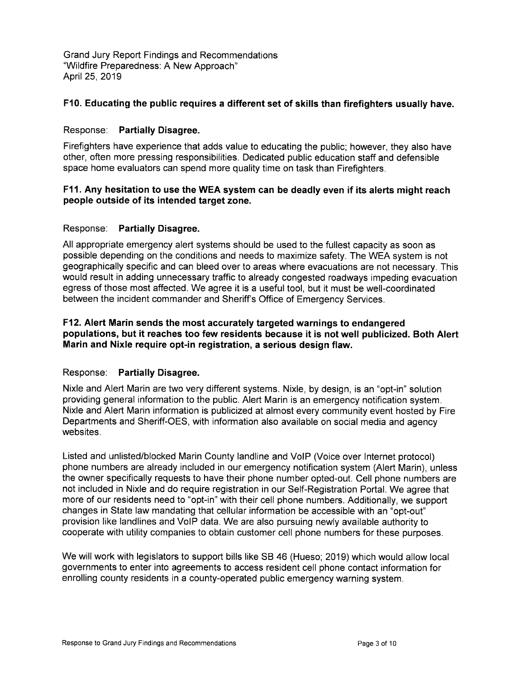# **F10. Educating the public requires a different set of skills than firefighters usually have.**

## Response: **Partially Disagree.**

Firefighters have experience that adds value to educating the public; however, they also have other, often more pressing responsibilities. Dedicated public education staff and defensible space home evaluators can spend more quality time on task than Firefighters.

## **F11. Any hesitation to use the WEA system can be deadly even if its alerts might reach people outside of its intended target zone.**

## Response: **Partially Disagree.**

All appropriate emergency alert systems should be used to the fullest capacity as soon as possible depending on the conditions and needs to maximize safety. The WEA system is not geographically specific and can bleed over to areas where evacuations are not necessary. This would result in adding unnecessary traffic to already congested roadways impeding evacuation egress of those most affected. We agree it is a useful tool, but it must be well-coordinated between the incident commander and Sheriff's Office of Emergency Services.

## F12. Alert Marin sends the most accurately targeted warnings to endangered **populations, but it reaches too few residents because it is not well publicized. Both Alert Marin and Nixle require opt-in registration, a serious design flaw.**

# Response: **Partially Disagree.**

Nixle and Alert Marin are two very different systems. Nixle, by design, is an "opt-in" solution providing general information to the public. Alert Marin is an emergency notification system. Nixle and Alert Marin information is publicized at almost every community event hosted by Fire Departments and Sheriff-OES, with information also available on social media and agency websites.

Listed and unlisted/blocked Marin County landline and VoIP (Voice over Internet protocol) phone numbers are already included in our emergency notification system (Alert Marin), unless the owner specifically requests to have their phone number opted-out. Cell phone numbers are not included in Nixie and do require registration in our Self-Registration Portal. We agree that more of our residents need to "opt-in" with their cell phone numbers. Additionally, we support changes in State law mandating that cellular information be accessible with an "opt-out" provision like landlines and VolP data. We are also pursuing newly available authority to cooperate with utility companies to obtain customer cell phone numbers for these purposes.

We will work with legislators to support bills like SB 46 (Hueso; 2019) which would allow local governments to enter into agreements to access resident cell phone contact information for enrolling county residents in a county-operated public emergency warning system.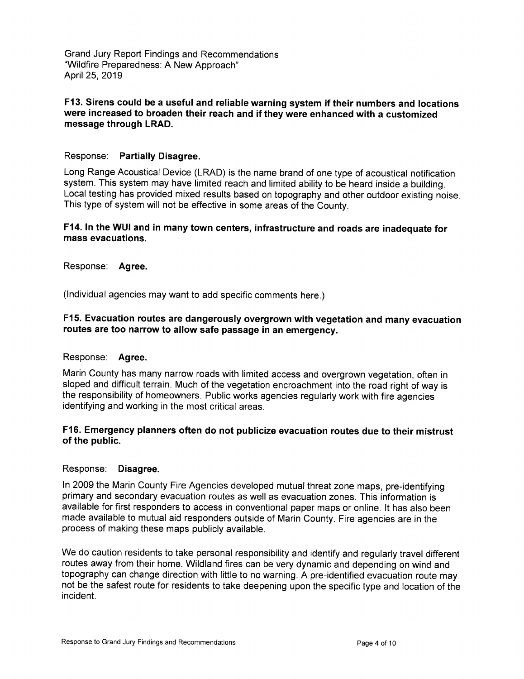## **F13. Sirens could be a useful and reliable warning system if their numbers and locations were increased to broaden their reach and if they were enhanced with a customized message through LRAD.**

## Response: **Partially Disagree.**

Long Range Acoustical Device (LRAD) is the name brand of one type of acoustical notification system. This system may have limited reach and limited ability to be heard inside a building. Local testing has provided mixed results based on topography and other outdoor existing noise. This type of system will not be effective in some areas of the County.

## **F14. In the WUI and in many town centers, infrastructure and roads are inadequate for mass evacuations.**

Response: **Agree.** 

(Individual agencies may want to add specific comments here.)

## **F15. Evacuation routes are dangerously overgrown with vegetation and many evacuation routes are too narrow to allow safe passage in an emergency.**

#### Response: **Agree.**

Marin County has many narrow roads with limited access and overgrown vegetation, often in sloped and difficult terrain. Much of the vegetation encroachment into the road right of way is the responsibility of homeowners. Public works agencies regularly work with fire agencies identifying and working in the most critical areas.

## **F16. Emergency planners often do not publicize evacuation routes due to their mistrust of the public.**

#### Response: **Disagree.**

In 2009 the Marin County Fire Agencies developed mutual threat zone maps, pre-identifying primary and secondary evacuation routes as well as evacuation zones. This information is available for first responders to access in conventional paper maps or online. It has also been made available to mutual aid responders outside of Marin County. Fire agencies are in the process of making these maps publicly available.

We do caution residents to take personal responsibility and identify and regularly travel different routes away from their home. Wildland fires can be very dynamic and depending on wind and topography can change direction with little to no warning. A pre-identified evacuation route may not be the safest route for residents to take deepening upon the specific type and location of the incident.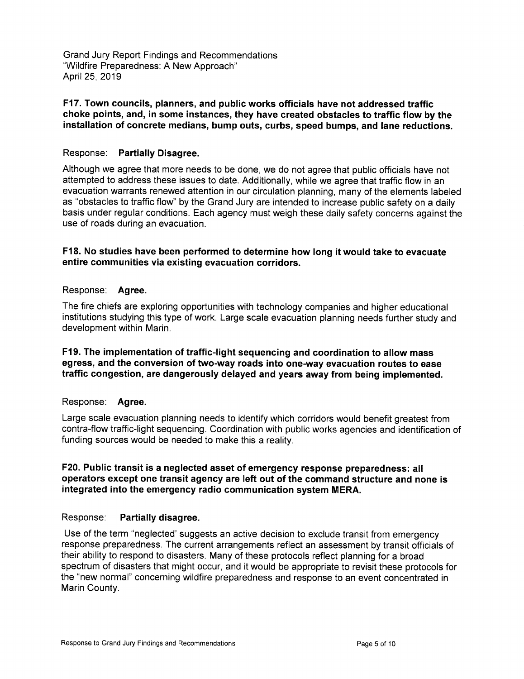#### **F17. Town councils, planners, and public works officials have not addressed traffic choke points, and, in some instances, they have created obstacles to traffic flow by the installation of concrete medians, bump outs, curbs, speed bumps, and lane reductions.**

## Response: **Partially Disagree.**

Although we agree that more needs to be done, we do not agree that public officials have not attempted to address these issues to date. Additionally, while we agree that traffic flow in an evacuation warrants renewed attention in our circulation planning, many of the elements labeled as "obstacles to traffic flow" by the Grand Jury are intended to increase public safety on a daily basis under regular conditions. Each agency must weigh these daily safety concerns against the use of roads during an evacuation.

## **F18. No studies have been performed to determine how long it would take to evacuate entire communities via existing evacuation corridors.**

## Response: **Agree.**

The fire chiefs are exploring opportunities with technology companies and higher educational institutions studying this type of work. Large scale evacuation planning needs further study and development within Marin.

#### **F19. The implementation of traffic-light sequencing and coordination to allow mass egress, and the conversion of two-way roads into one-way evacuation routes to ease traffic congestion, are dangerously delayed and years away from being implemented.**

#### Response: **Agree.**

Large scale evacuation planning needs to identify which corridors would benefit greatest from contra-flow traffic-light sequencing. Coordination with public works agencies and identification of funding sources would be needed to make this a reality.

## **F20. Public transit is a neglected asset of emergency response preparedness: all operators except one transit agency are left out of the command structure and none is integrated into the emergency radio communication system MERA.**

#### Response: **Partially disagree.**

Use of the term "neglected' suggests an active decision to exclude transit from emergency response preparedness. The current arrangements reflect an assessment by transit officials of their ability to respond to disasters. Many of these protocols reflect planning for a broad spectrum of disasters that might occur, and it would be appropriate to revisit these protocols for the "new normal" concerning wildfire preparedness and response to an event concentrated in Marin County.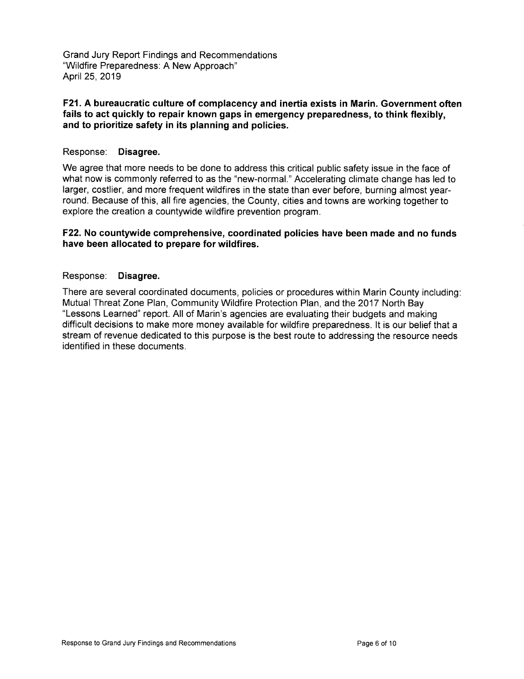#### F21. A bureaucratic culture of complacency and inertia exists in Marin. Government often **fails to act quickly to repair known gaps in emergency preparedness, to think flexibly, and to prioritize safety in its planning and policies.**

## Response: **Disagree.**

We agree that more needs to be done to address this critical public safety issue in the face of what now is commonly referred to as the "new-normal." Accelerating climate change has led to larger, costlier, and more frequent wildfires in the state than ever before, burning almost yearround. Because of this, all fire agencies, the County, cities and towns are working together to explore the creation a countywide wildfire prevention program.

## **F22. No countywide comprehensive, coordinated policies have been made and no funds have been allocated to prepare for wildfires.**

## Response: **Disagree.**

There are several coordinated documents, policies or procedures within Marin County including: Mutual Threat Zone Plan, Community Wildfire Protection Plan, and the 2017 North Bay "Lessons Learned" report. All of Marin's agencies are evaluating their budgets and making difficult decisions to make more money available for wildfire preparedness. It is our belief that a stream of revenue dedicated to this purpose is the best route to addressing the resource needs identified in these documents.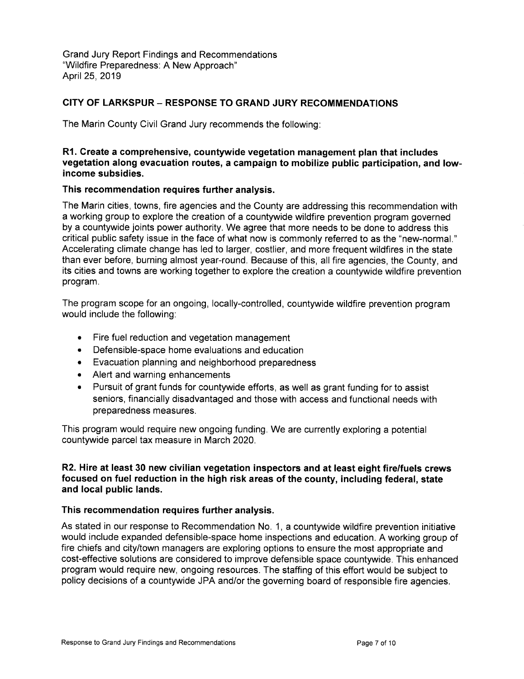## **CITY OF LARKSPUR — RESPONSE TO GRAND JURY RECOMMENDATIONS**

The Marin County Civil Grand Jury recommends the following:

#### **R1. Create a comprehensive, countywide vegetation management plan that includes vegetation along evacuation routes, a campaign to mobilize public participation, and lowincome subsidies.**

## **This recommendation requires further analysis.**

The Marin cities, towns, fire agencies and the County are addressing this recommendation with a working group to explore the creation of a countywide wildfire prevention program governed by a countywide joints power authority. We agree that more needs to be done to address this critical public safety issue in the face of what now is commonly referred to as the "new-normal." Accelerating climate change has led to larger, costlier, and more frequent wildfires in the state than ever before, burning almost year-round. Because of this, all fire agencies, the County, and its cities and towns are working together to explore the creation a countywide wildfire prevention program.

The program scope for an ongoing, locally-controlled, countywide wildfire prevention program would include the following:

- Fire fuel reduction and vegetation management
- Defensible-space home evaluations and education
- Evacuation planning and neighborhood preparedness
- Alert and warning enhancements
- Pursuit of grant funds for countywide efforts, as well as grant funding for to assist seniors, financially disadvantaged and those with access and functional needs with preparedness measures.

This program would require new ongoing funding. We are currently exploring a potential countywide parcel tax measure in March 2020.

## **R2. Hire at least 30 new civilian vegetation inspectors and at least eight fire/fuels crews focused on fuel reduction in the high risk areas of the county, including federal, state and local public lands.**

#### **This recommendation requires further analysis.**

As stated in our response to Recommendation No. 1, a countywide wildfire prevention initiative would include expanded defensible-space home inspections and education. A working group of fire chiefs and city/town managers are exploring options to ensure the most appropriate and cost-effective solutions are considered to improve defensible space countywide. This enhanced program would require new, ongoing resources. The staffing of this effort would be subject to policy decisions of a countywide JPA and/or the governing board of responsible fire agencies.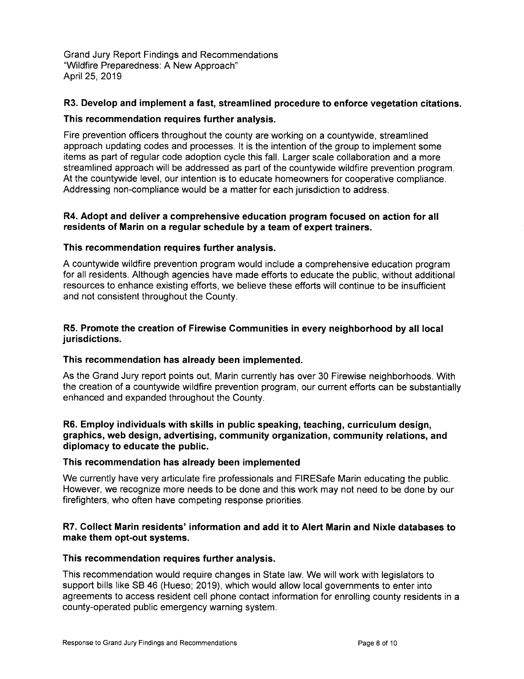# **R3. Develop and implement a fast, streamlined procedure to enforce vegetation citations.**

## **This recommendation requires further analysis.**

Fire prevention officers throughout the county are working on a countywide, streamlined approach updating codes and processes. It is the intention of the group to implement some items as part of regular code adoption cycle this fall. Larger scale collaboration and a more streamlined approach will be addressed as part of the countywide wildfire prevention program. At the countywide level, our intention is to educate homeowners for cooperative compliance. Addressing non-compliance would be a matter for each jurisdiction to address.

## **R4. Adopt and deliver a comprehensive education program focused on action for all**  residents of Marin on a regular schedule by a team of expert trainers.

## **This recommendation requires further analysis.**

A countywide wildfire prevention program would include a comprehensive education program for all residents. Although agencies have made efforts to educate the public, without additional resources to enhance existing efforts, we believe these efforts will continue to be insufficient and not consistent throughout the County.

## **R5. Promote the creation of Firewise Communities in every neighborhood by all local jurisdictions.**

#### **This recommendation has already been implemented.**

As the Grand Jury report points out, Marin currently has over 30 Firewise neighborhoods. With the creation of a countywide wildfire prevention program, our current efforts can be substantially enhanced and expanded throughout the County.

## **R6. Employ individuals with skills in public speaking, teaching, curriculum design, graphics, web design, advertising, community organization, community relations, and diplomacy to educate the public.**

#### **This recommendation has already been implemented**

We currently have very articulate fire professionals and FIRESafe Marin educating the public. However, we recognize more needs to be done and this work may not need to be done by our firefighters, who often have competing response priorities.

# **R7. Collect Marin residents' information and add it to Alert Marin and Nixle databases to make them opt-out systems.**

# **This recommendation requires further analysis.**

This recommendation would require changes in State law. We will work with legislators to support bills like SB 46 (Hueso; 2019), which would allow local governments to enter into agreements to access resident cell phone contact information for enrolling county residents in a county-operated public emergency warning system.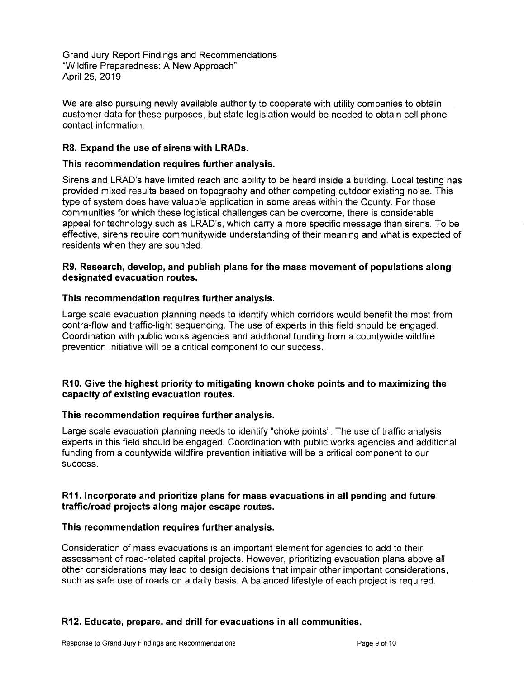We are also pursuing newly available authority to cooperate with utility companies to obtain customer data for these purposes, but state legislation would be needed to obtain cell phone contact information.

## **R8. Expand the use of sirens with LRADs.**

## **This recommendation requires further analysis.**

Sirens and LRAD's have limited reach and ability to be heard inside a building. Local testing has provided mixed results based on topography and other competing outdoor existing noise. This type of system does have valuable application in some areas within the County. For those communities for which these logistical challenges can be overcome, there is considerable appeal for technology such as LRAD's, which carry a more specific message than sirens. To be effective, sirens require communitywide understanding of their meaning and what is expected of residents when they are sounded.

## **R9. Research, develop, and publish plans for the mass movement of populations along designated evacuation routes.**

#### **This recommendation requires further analysis.**

Large scale evacuation planning needs to identify which corridors would benefit the most from contra-flow and traffic-light sequencing. The use of experts in this field should be engaged. Coordination with public works agencies and additional funding from a countywide wildfire prevention initiative will be a critical component to our success.

## **R10. Give the highest priority to mitigating known choke points and to maximizing the capacity of existing evacuation routes.**

#### **This recommendation requires further analysis.**

Large scale evacuation planning needs to identify "choke points". The use of traffic analysis experts in this field should be engaged. Coordination with public works agencies and additional funding from a countywide wildfire prevention initiative will be a critical component to our success.

## **R11. Incorporate and prioritize plans for mass evacuations in all pending and future traffic/road projects along major escape routes.**

# **This recommendation requires further analysis.**

Consideration of mass evacuations is an important element for agencies to add to their assessment of road-related capital projects. However, prioritizing evacuation plans above all other considerations may lead to design decisions that impair other important considerations, such as safe use of roads on a daily basis. A balanced lifestyle of each project is required.

# **R12. Educate, prepare, and drill for evacuations in all communities.**